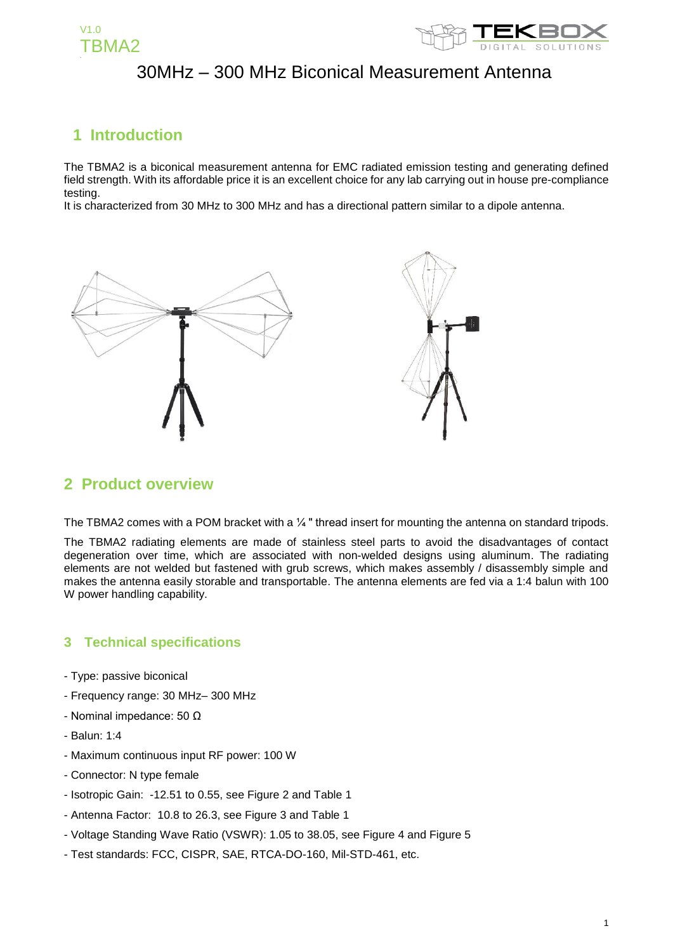



### **1 Introduction**

The TBMA2 is a biconical measurement antenna for EMC radiated emission testing and generating defined field strength. With its affordable price it is an excellent choice for any lab carrying out in house pre-compliance testing.

It is characterized from 30 MHz to 300 MHz and has a directional pattern similar to a dipole antenna.



#### **2 Product overview**

The TBMA2 comes with a POM bracket with a 1/4 " thread insert for mounting the antenna on standard tripods.

The TBMA2 radiating elements are made of stainless steel parts to avoid the disadvantages of contact degeneration over time, which are associated with non-welded designs using aluminum. The radiating elements are not welded but fastened with grub screws, which makes assembly / disassembly simple and makes the antenna easily storable and transportable. The antenna elements are fed via a 1:4 balun with 100 W power handling capability.

#### **3 Technical specifications**

- Type: passive biconical
- Frequency range: 30 MHz– 300 MHz
- Nominal impedance: 50 Ω
- Balun: 1:4
- Maximum continuous input RF power: 100 W
- Connector: N type female
- Isotropic Gain: -12.51 to 0.55, see Figure 2 and Table 1
- Antenna Factor: 10.8 to 26.3, see Figure 3 and Table 1
- Voltage Standing Wave Ratio (VSWR): 1.05 to 38.05, see Figure 4 and Figure 5
- Test standards: FCC, CISPR, SAE, RTCA-DO-160, Mil-STD-461, etc.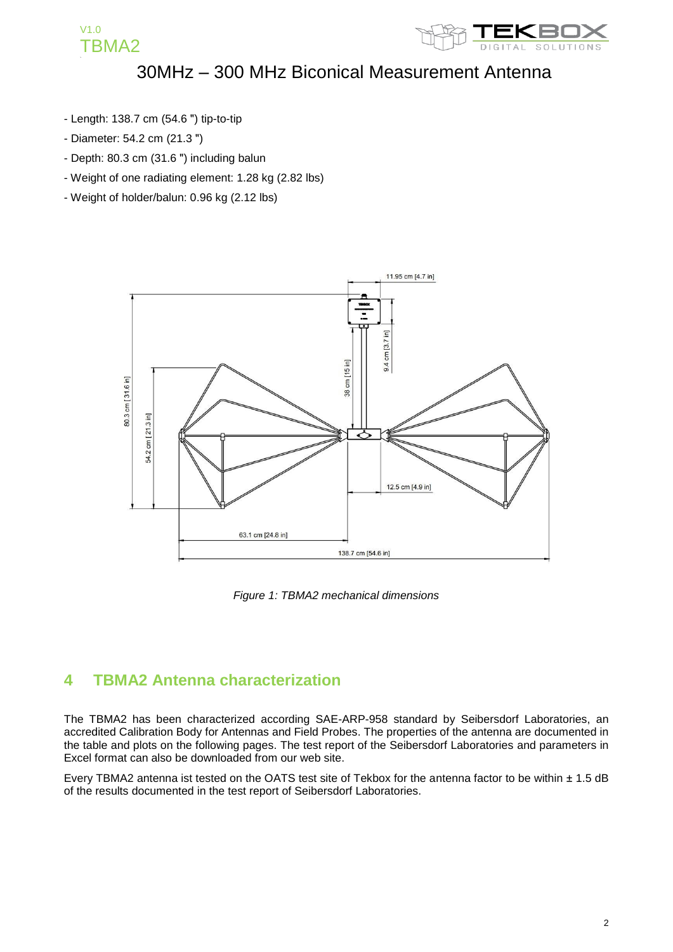

- Length: 138.7 cm (54.6 ") tip-to-tip
- Diameter: 54.2 cm (21.3 ")

V1.0

TBMA2

- Depth: 80.3 cm (31.6 ") including balun
- Weight of one radiating element: 1.28 kg (2.82 lbs)
- Weight of holder/balun: 0.96 kg (2.12 lbs)



*Figure 1: TBMA2 mechanical dimensions*

### **4 TBMA2 Antenna characterization**

The TBMA2 has been characterized according SAE-ARP-958 standard by Seibersdorf Laboratories, an accredited Calibration Body for Antennas and Field Probes. The properties of the antenna are documented in the table and plots on the following pages. The test report of the Seibersdorf Laboratories and parameters in Excel format can also be downloaded from our web site.

Every TBMA2 antenna ist tested on the OATS test site of Tekbox for the antenna factor to be within ± 1.5 dB of the results documented in the test report of Seibersdorf Laboratories.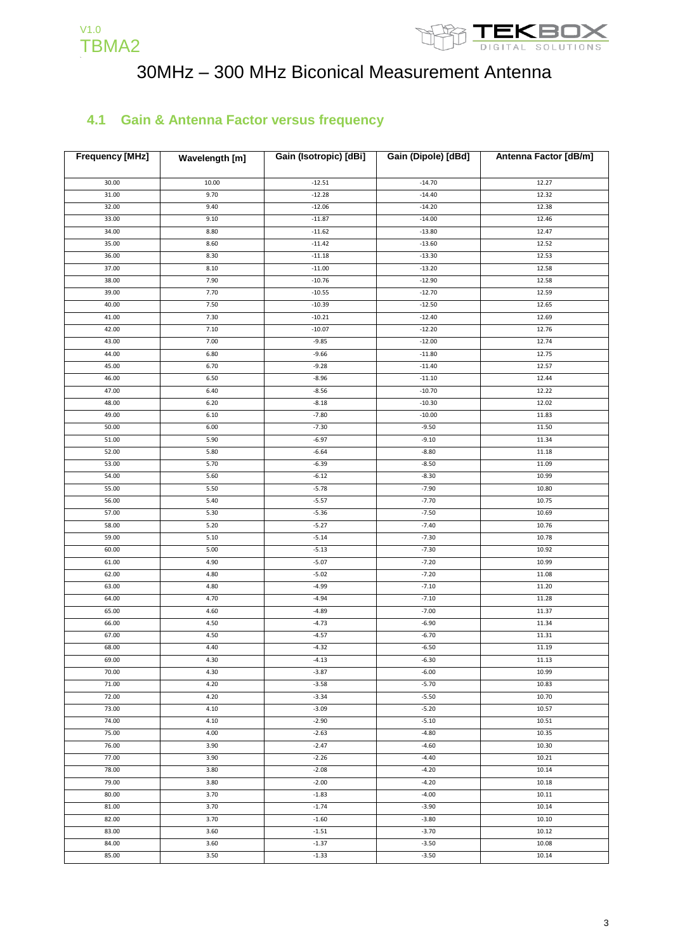



#### **4.1 Gain & Antenna Factor versus frequency**

| <b>Frequency [MHz]</b> | Wavelength [m] | Gain (Isotropic) [dBi] | Gain (Dipole) [dBd] | Antenna Factor [dB/m] |
|------------------------|----------------|------------------------|---------------------|-----------------------|
|                        |                |                        |                     |                       |
| 30.00                  | 10.00          | $-12.51$               | $-14.70$            | 12.27                 |
| 31.00                  | 9.70           | $-12.28$               | $-14.40$            | 12.32                 |
| 32.00                  | 9.40           | $-12.06$               | $-14.20$            | 12.38                 |
| 33.00                  | 9.10           | $-11.87$               | $-14.00$            | 12.46                 |
| 34.00                  | 8.80           | $-11.62$               | $-13.80$            | 12.47                 |
| 35.00                  | 8.60           | $-11.42$               | $-13.60$            | 12.52                 |
| 36.00                  | 8.30           | $-11.18$               | $-13.30$            | 12.53                 |
| 37.00                  | 8.10           | $-11.00$               | $-13.20$            | 12.58                 |
| 38.00                  | 7.90           | $-10.76$               | $-12.90$            | 12.58                 |
| 39.00                  | 7.70           | $-10.55$               | $-12.70$            | 12.59                 |
| 40.00                  | 7.50           | $-10.39$               | $-12.50$            | 12.65                 |
| 41.00                  | 7.30           | $-10.21$               | $-12.40$            | 12.69                 |
| 42.00                  | 7.10           | $-10.07$               | $-12.20$            | 12.76                 |
| 43.00                  | 7.00           | $-9.85$                | $-12.00$            | 12.74                 |
| 44.00                  | 6.80           | $-9.66$                | $-11.80$            | 12.75                 |
| 45.00                  | 6.70           | $-9.28$                | $-11.40$            | 12.57                 |
| 46.00                  | 6.50           | $-8.96$                | $-11.10$            | 12.44                 |
| 47.00                  | 6.40           | $-8.56$                | $-10.70$            | 12.22                 |
| 48.00                  | 6.20           | $-8.18$                | $-10.30$            | 12.02                 |
| 49.00                  | 6.10           | $-7.80$                | $-10.00$            | 11.83                 |
| 50.00                  | 6.00           | $-7.30$                | $-9.50$             | 11.50                 |
| 51.00                  | 5.90           | $-6.97$                | $-9.10$             | 11.34                 |
| 52.00                  | 5.80           | $-6.64$                | $-8.80$             | 11.18                 |
| 53.00                  | 5.70           | $-6.39$                | $-8.50$             | 11.09                 |
| 54.00                  | 5.60           | $-6.12$                | $-8.30$             | 10.99                 |
| 55.00                  | 5.50           | $-5.78$                | $-7.90$             | 10.80                 |
| 56.00                  | 5.40           | $-5.57$                | $-7.70$             | 10.75                 |
| 57.00                  | 5.30           | $-5.36$                | $-7.50$             | 10.69                 |
| 58.00                  | 5.20           | $-5.27$                | $-7.40$             | 10.76                 |
| 59.00                  | 5.10           | $-5.14$                | $-7.30$             | 10.78                 |
| 60.00                  | 5.00           | $-5.13$                | $-7.30$             | 10.92                 |
| 61.00                  | 4.90           | $-5.07$                | $-7.20$             | 10.99                 |
| 62.00                  | 4.80           | $-5.02$                | $-7.20$             | 11.08                 |
| 63.00                  | 4.80           | $-4.99$                | $-7.10$             | 11.20                 |
| 64.00                  | 4.70           | $-4.94$                | $-7.10$             | 11.28                 |
| 65.00                  | 4.60           | $-4.89$                | $-7.00$             | 11.37                 |
| 66.00                  | 4.50           | $-4.73$                | $-6.90$             | 11.34                 |
| 67.00                  | 4.50           | $-4.57$                | $-6.70$             | 11.31                 |
| 68.00                  | 4.40           | $-4.32$                | $-6.50$             | 11.19                 |
| 69.00                  | 4.30           | $-4.13$                | $-6.30$             | 11.13                 |
| 70.00                  | 4.30           | $-3.87$                | $-6.00$             | 10.99                 |
| 71.00                  | 4.20           | $-3.58$                | $-5.70$             | 10.83                 |
| 72.00                  | 4.20           | $-3.34$                | $-5.50$             | 10.70                 |
| 73.00                  | 4.10           | $-3.09$                | $-5.20$             | 10.57                 |
| 74.00                  | 4.10           | $-2.90$                | $-5.10$             | 10.51                 |
| 75.00                  | 4.00           | $-2.63$                | $-4.80$             | 10.35                 |
| 76.00                  | 3.90           | $-2.47$                | $-4.60$             | 10.30                 |
| 77.00                  | 3.90           | $-2.26$                | $-4.40$             | 10.21                 |
| 78.00                  | 3.80           | $-2.08$                | $-4.20$             | 10.14                 |
| 79.00                  | 3.80           | $-2.00$                | $-4.20$             | 10.18                 |
| 80.00                  | 3.70           | $-1.83$                | $-4.00$             | 10.11                 |
| 81.00                  | 3.70           | $-1.74$                | $-3.90$             | 10.14                 |
| 82.00                  | 3.70           | $-1.60$                | $-3.80$             | 10.10                 |
| 83.00                  | 3.60           | $-1.51$                | $-3.70$             | 10.12                 |
| 84.00                  | 3.60           | $-1.37$                | $-3.50$             | 10.08                 |
| 85.00                  | 3.50           | $-1.33$                | $-3.50$             | 10.14                 |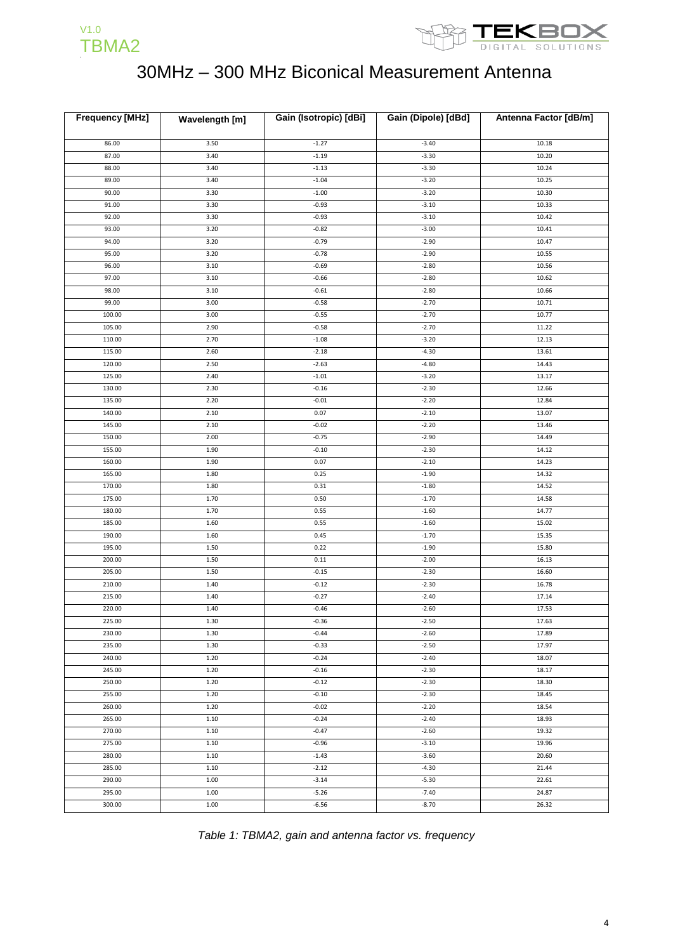



| <b>Frequency [MHz]</b> | Wavelength [m] | Gain (Isotropic) [dBi] | Gain (Dipole) [dBd] | Antenna Factor [dB/m] |
|------------------------|----------------|------------------------|---------------------|-----------------------|
|                        |                |                        |                     |                       |
| 86.00                  | 3.50           | $-1.27$                | $-3.40$             | 10.18                 |
| 87.00                  | 3.40           | $-1.19$                | $-3.30$             | 10.20                 |
| 88.00                  | 3.40           | $-1.13$                | $-3.30$             | 10.24                 |
| 89.00                  | 3.40           | $-1.04$                | $-3.20$             | 10.25                 |
| 90.00                  | 3.30           | $-1.00$                | $-3.20$             | 10.30                 |
| 91.00                  | 3.30           | $-0.93$                | $-3.10$             | 10.33                 |
| 92.00                  | 3.30           | $-0.93$                | $-3.10$             | 10.42                 |
| 93.00                  | 3.20           | $-0.82$                | $-3.00$             | 10.41                 |
| 94.00                  | 3.20           | $-0.79$                | $-2.90$             | 10.47                 |
| 95.00                  | 3.20           | $-0.78$                | $-2.90$             | 10.55                 |
| 96.00                  | 3.10           | $-0.69$                | $-2.80$             | 10.56                 |
| 97.00                  | 3.10           | $-0.66$                | $-2.80$             | 10.62                 |
| 98.00                  | 3.10           | $-0.61$                | $-2.80$             | 10.66                 |
| 99.00                  | 3.00           | $-0.58$                | $-2.70$             | 10.71                 |
| 100.00                 | 3.00           | $-0.55$                | $-2.70$             | 10.77                 |
| 105.00                 | 2.90           | $-0.58$                | $-2.70$             | 11.22                 |
| 110.00                 | 2.70           | $-1.08$                | $-3.20$             | 12.13                 |
| 115.00                 | 2.60           | $-2.18$                | $-4.30$             | 13.61                 |
| 120.00                 | 2.50           | $-2.63$                | $-4.80$             | 14.43                 |
| 125.00                 | 2.40           | $-1.01$                | $-3.20$             | 13.17                 |
| 130.00                 | 2.30           | $-0.16$                | $-2.30$             | 12.66                 |
| 135.00                 | 2.20           | $-0.01$                | $-2.20$             | 12.84                 |
| 140.00                 | 2.10           | 0.07                   | $-2.10$             | 13.07                 |
| 145.00                 | 2.10           | $-0.02$                | $-2.20$             | 13.46                 |
| 150.00                 | 2.00           | $-0.75$                | $-2.90$             | 14.49                 |
| 155.00                 | 1.90           | $-0.10$                | $-2.30$             | 14.12                 |
| 160.00                 | 1.90           | 0.07                   | $-2.10$             | 14.23                 |
| 165.00                 | 1.80           | 0.25                   | $-1.90$             | 14.32                 |
| 170.00                 | 1.80           | 0.31                   | $-1.80$             | 14.52                 |
| 175.00                 | 1.70           | 0.50                   | $-1.70$             | 14.58                 |
| 180.00                 | 1.70           | 0.55                   | $-1.60$             | 14.77                 |
| 185.00                 | 1.60           | 0.55                   | $-1.60$             | 15.02                 |
| 190.00                 | 1.60           | 0.45                   | $-1.70$             | 15.35                 |
| 195.00                 | 1.50           | 0.22                   | $-1.90$             | 15.80                 |
| 200.00                 | 1.50           | 0.11                   | $-2.00$             | 16.13                 |
| 205.00                 | 1.50           | $-0.15$                | $-2.30$             | 16.60                 |
| 210.00<br>215.00       | 1.40           | $-0.12$<br>$-0.27$     | $-2.30$<br>$-2.40$  | 16.78<br>17.14        |
| 220.00                 | 1.40<br>1.40   | $-0.46$                | $-2.60$             | 17.53                 |
| 225.00                 | 1.30           | $-0.36$                | $-2.50$             | 17.63                 |
| 230.00                 | 1.30           | $-0.44$                | $-2.60$             | 17.89                 |
| 235.00                 | 1.30           | $-0.33$                | $-2.50$             | 17.97                 |
| 240.00                 | 1.20           | $-0.24$                | $-2.40$             | 18.07                 |
| 245.00                 | 1.20           | $-0.16$                | $-2.30$             | 18.17                 |
| 250.00                 | 1.20           | $-0.12$                | $-2.30$             | 18.30                 |
| 255.00                 | 1.20           | $-0.10$                | $-2.30$             | 18.45                 |
| 260.00                 | 1.20           | $-0.02$                | $-2.20$             | 18.54                 |
| 265.00                 | 1.10           | $-0.24$                | $-2.40$             | 18.93                 |
| 270.00                 | 1.10           | $-0.47$                | $-2.60$             | 19.32                 |
| 275.00                 | 1.10           | $-0.96$                | $-3.10$             | 19.96                 |
| 280.00                 | 1.10           | $-1.43$                | $-3.60$             | 20.60                 |
| 285.00                 | 1.10           | $-2.12$                | $-4.30$             | 21.44                 |
| 290.00                 | 1.00           | $-3.14$                | $-5.30$             | 22.61                 |
| 295.00                 | 1.00           | $-5.26$                | $-7.40$             | 24.87                 |
| 300.00                 | 1.00           | $-6.56$                | $-8.70$             | 26.32                 |
|                        |                |                        |                     |                       |

*Table 1: TBMA2, gain and antenna factor vs. frequency*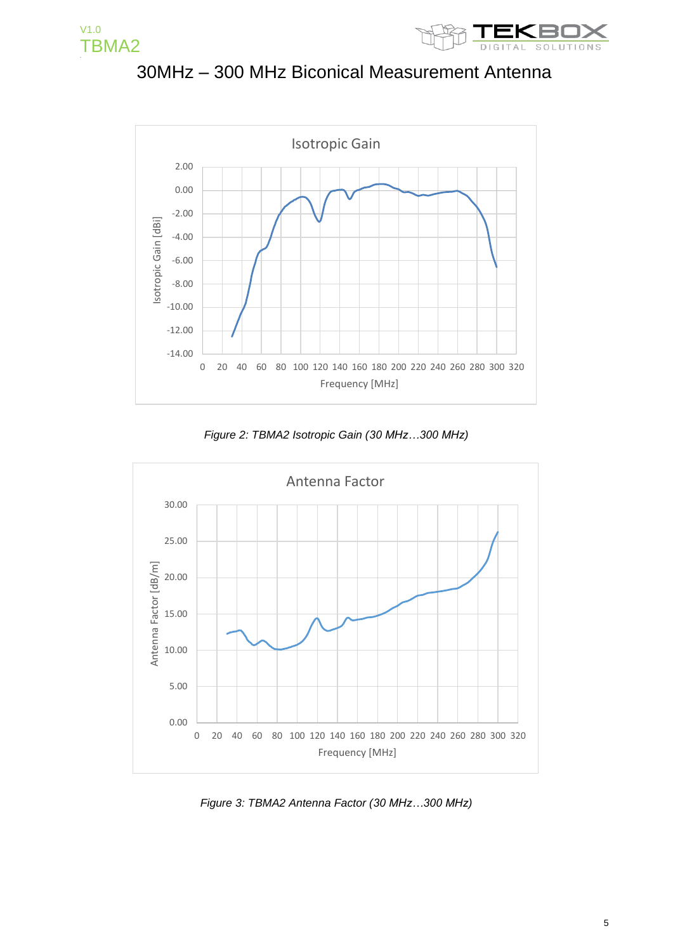



30MHz – 300 MHz Biconical Measurement Antenna



*Figure 2: TBMA2 Isotropic Gain (30 MHz…300 MHz)*



*Figure 3: TBMA2 Antenna Factor (30 MHz…300 MHz)*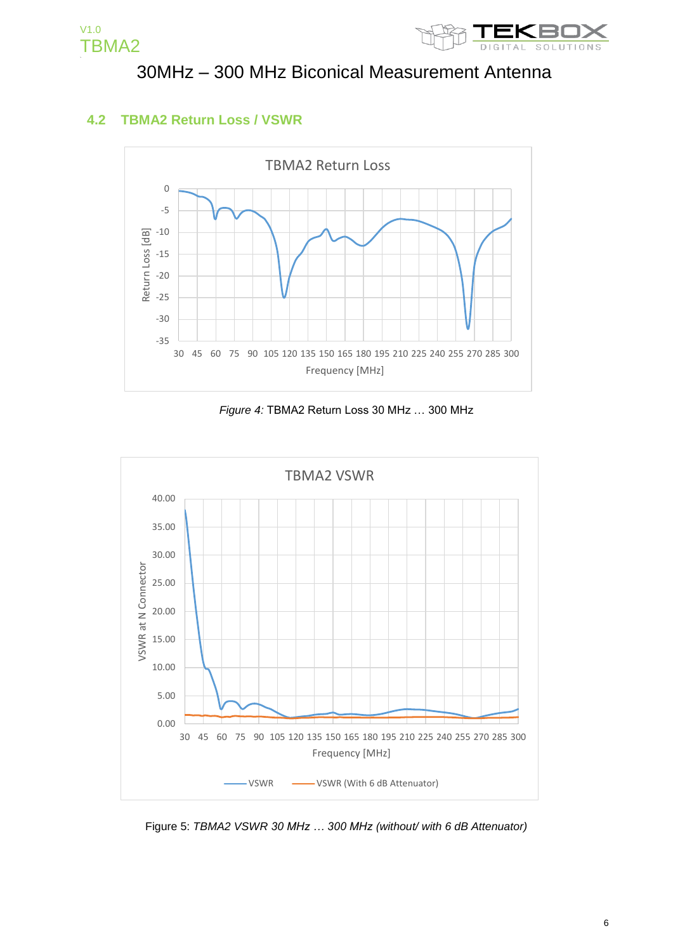



#### **4.2 TBMA2 Return Loss / VSWR**



*Figure 4:* TBMA2 Return Loss 30 MHz … 300 MHz



Figure 5: *TBMA2 VSWR 30 MHz … 300 MHz (without/ with 6 dB Attenuator)*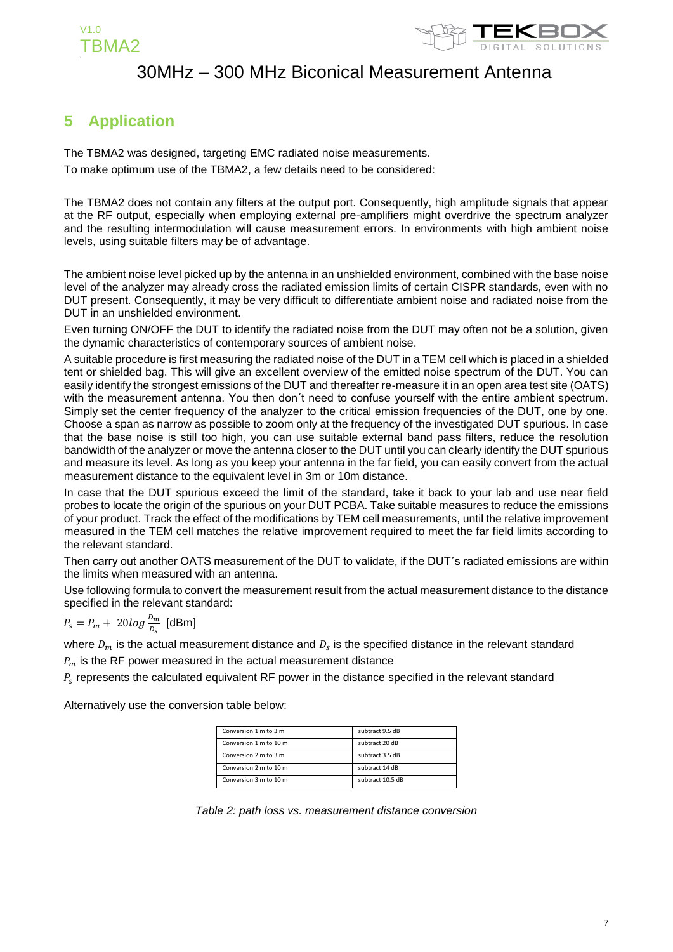



### **5 Application**

The TBMA2 was designed, targeting EMC radiated noise measurements. To make optimum use of the TBMA2, a few details need to be considered:

The TBMA2 does not contain any filters at the output port. Consequently, high amplitude signals that appear at the RF output, especially when employing external pre-amplifiers might overdrive the spectrum analyzer and the resulting intermodulation will cause measurement errors. In environments with high ambient noise levels, using suitable filters may be of advantage.

The ambient noise level picked up by the antenna in an unshielded environment, combined with the base noise level of the analyzer may already cross the radiated emission limits of certain CISPR standards, even with no DUT present. Consequently, it may be very difficult to differentiate ambient noise and radiated noise from the DUT in an unshielded environment.

Even turning ON/OFF the DUT to identify the radiated noise from the DUT may often not be a solution, given the dynamic characteristics of contemporary sources of ambient noise.

A suitable procedure is first measuring the radiated noise of the DUT in a TEM cell which is placed in a shielded tent or shielded bag. This will give an excellent overview of the emitted noise spectrum of the DUT. You can easily identify the strongest emissions of the DUT and thereafter re-measure it in an open area test site (OATS) with the measurement antenna. You then don't need to confuse yourself with the entire ambient spectrum. Simply set the center frequency of the analyzer to the critical emission frequencies of the DUT, one by one. Choose a span as narrow as possible to zoom only at the frequency of the investigated DUT spurious. In case that the base noise is still too high, you can use suitable external band pass filters, reduce the resolution bandwidth of the analyzer or move the antenna closer to the DUT until you can clearly identify the DUT spurious and measure its level. As long as you keep your antenna in the far field, you can easily convert from the actual measurement distance to the equivalent level in 3m or 10m distance.

In case that the DUT spurious exceed the limit of the standard, take it back to your lab and use near field probes to locate the origin of the spurious on your DUT PCBA. Take suitable measures to reduce the emissions of your product. Track the effect of the modifications by TEM cell measurements, until the relative improvement measured in the TEM cell matches the relative improvement required to meet the far field limits according to the relevant standard.

Then carry out another OATS measurement of the DUT to validate, if the DUT´s radiated emissions are within the limits when measured with an antenna.

Use following formula to convert the measurement result from the actual measurement distance to the distance specified in the relevant standard:

## $P_s = P_m + 20log \frac{D_m}{D_s}$  [dBm]

where  $\mathit{D}_{m}$  is the actual measurement distance and  $\mathit{D}_{s}$  is the specified distance in the relevant standard

 $P_m$  is the RF power measured in the actual measurement distance

 $P_{s}$  represents the calculated equivalent RF power in the distance specified in the relevant standard

Alternatively use the conversion table below:

| Conversion 1 m to 3 m  | subtract 9.5 dB  |
|------------------------|------------------|
| Conversion 1 m to 10 m | subtract 20 dB   |
| Conversion 2 m to 3 m  | subtract 3.5 dB  |
| Conversion 2 m to 10 m | subtract 14 dB   |
| Conversion 3 m to 10 m | subtract 10.5 dB |

*Table 2: path loss vs. measurement distance conversion*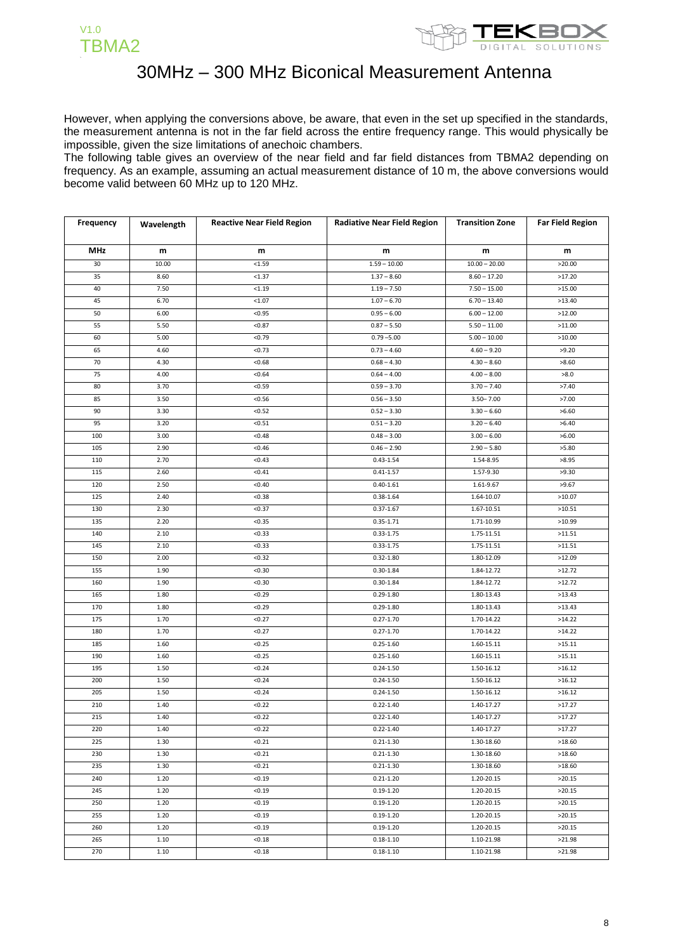



However, when applying the conversions above, be aware, that even in the set up specified in the standards, the measurement antenna is not in the far field across the entire frequency range. This would physically be impossible, given the size limitations of anechoic chambers.

The following table gives an overview of the near field and far field distances from TBMA2 depending on frequency. As an example, assuming an actual measurement distance of 10 m, the above conversions would become valid between 60 MHz up to 120 MHz.

| Frequency  | Wavelength | <b>Reactive Near Field Region</b> | <b>Radiative Near Field Region</b> | <b>Transition Zone</b> | <b>Far Field Region</b> |
|------------|------------|-----------------------------------|------------------------------------|------------------------|-------------------------|
|            |            |                                   |                                    |                        |                         |
| <b>MHz</b> | m          | m                                 | m                                  | m                      | m                       |
| 30         | 10.00      | < 1.59                            | $1.59 - 10.00$                     | $10.00 - 20.00$        | >20.00                  |
| 35         | 8.60       | < 1.37                            | $1.37 - 8.60$                      | $8.60 - 17.20$         | >17.20                  |
| 40         | 7.50       | < 1.19                            | $1.19 - 7.50$                      | $7.50 - 15.00$         | >15.00                  |
| 45         | 6.70       | < 1.07                            | $1.07 - 6.70$                      | $6.70 - 13.40$         | >13.40                  |
| 50         | 6.00       | < 0.95                            | $0.95 - 6.00$                      | $6.00 - 12.00$         | >12.00                  |
| 55         | 5.50       | < 0.87                            | $0.87 - 5.50$                      | $5.50 - 11.00$         | >11.00                  |
| 60         | 5.00       | < 0.79                            | $0.79 - 5.00$                      | $5.00 - 10.00$         | >10.00                  |
| 65         | 4.60       | < 0.73                            | $0.73 - 4.60$                      | $4.60 - 9.20$          | >9.20                   |
| 70         | 4.30       | < 0.68                            | $0.68 - 4.30$                      | $4.30 - 8.60$          | >8.60                   |
| 75         | 4.00       | < 0.64                            | $0.64 - 4.00$                      | $4.00 - 8.00$          | >8.0                    |
| 80         | 3.70       | < 0.59                            | $0.59 - 3.70$                      | $3.70 - 7.40$          | >7.40                   |
| 85         | 3.50       | < 0.56                            | $0.56 - 3.50$                      | $3.50 - 7.00$          | >7.00                   |
| 90         | 3.30       | < 0.52                            | $0.52 - 3.30$                      | $3.30 - 6.60$          | >6.60                   |
| 95         | 3.20       | < 0.51                            | $0.51 - 3.20$                      | $3.20 - 6.40$          | >6.40                   |
| 100        | 3.00       | < 0.48                            | $0.48 - 3.00$                      | $3.00 - 6.00$          | >6.00                   |
| 105        | 2.90       | < 0.46                            | $0.46 - 2.90$                      | $2.90 - 5.80$          | >5.80                   |
| 110        | 2.70       | < 0.43                            | $0.43 - 1.54$                      | 1.54-8.95              | >8.95                   |
| 115        | 2.60       | < 0.41                            | $0.41 - 1.57$                      | 1.57-9.30              | >9.30                   |
| 120        | 2.50       | < 0.40                            | $0.40 - 1.61$                      | 1.61-9.67              | >9.67                   |
| 125        | 2.40       | < 0.38                            | $0.38 - 1.64$                      | 1.64-10.07             | >10.07                  |
| 130        | 2.30       | < 0.37                            | $0.37 - 1.67$                      | 1.67-10.51             | >10.51                  |
| 135        | 2.20       | < 0.35                            | $0.35 - 1.71$                      | 1.71-10.99             | >10.99                  |
| 140        | 2.10       | < 0.33                            | $0.33 - 1.75$                      | 1.75-11.51             | >11.51                  |
| 145        | 2.10       | < 0.33                            | $0.33 - 1.75$                      | 1.75-11.51             | >11.51                  |
| 150        | 2.00       | < 0.32                            | $0.32 - 1.80$                      | 1.80-12.09             | >12.09                  |
| 155        | 1.90       | < 0.30                            | $0.30 - 1.84$                      | 1.84-12.72             | >12.72                  |
| 160        | 1.90       | < 0.30                            | $0.30 - 1.84$                      | 1.84-12.72             | >12.72                  |
| 165        | 1.80       | < 0.29                            | $0.29 - 1.80$                      | 1.80-13.43             | >13.43                  |
| 170        | 1.80       | < 0.29                            | $0.29 - 1.80$                      | 1.80-13.43             | >13.43                  |
| 175        | 1.70       | < 0.27                            | $0.27 - 1.70$                      | 1.70-14.22             | >14.22                  |
| 180        | 1.70       | < 0.27                            | $0.27 - 1.70$                      | 1.70-14.22             | >14.22                  |
| 185        | 1.60       | < 0.25                            | $0.25 - 1.60$                      | 1.60-15.11             | >15.11                  |
| 190        | 1.60       | < 0.25                            | $0.25 - 1.60$                      | 1.60-15.11             | >15.11                  |
| 195        | 1.50       | < 0.24                            | $0.24 - 1.50$                      | 1.50-16.12             | >16.12                  |
| 200        | 1.50       | < 0.24                            | $0.24 - 1.50$                      | 1.50-16.12             | >16.12                  |
| 205        | 1.50       | < 0.24                            | $0.24 - 1.50$                      | 1.50-16.12             | >16.12                  |
| 210        | 1.40       | < 0.22                            | $0.22 - 1.40$                      | 1.40-17.27             | >17.27                  |
| 215        | 1.40       | <0.22                             | $0.22 - 1.40$                      | 1.40-17.27             | >17.27                  |
| 220        | 1.40       | < 0.22                            | $0.22 - 1.40$                      | 1.40-17.27             | >17.27                  |
| 225        | 1.30       | < 0.21                            | $0.21 - 1.30$                      | 1.30-18.60             | >18.60                  |
| 230        | 1.30       | < 0.21                            | $0.21 - 1.30$                      | 1.30-18.60             | >18.60                  |
| 235        | 1.30       | < 0.21                            | $0.21 - 1.30$                      | 1.30-18.60             | >18.60                  |
| 240        | 1.20       | < 0.19                            | $0.21 - 1.20$                      | 1.20-20.15             | >20.15                  |
| 245        | 1.20       | < 0.19                            | $0.19 - 1.20$                      | 1.20-20.15             | >20.15                  |
| 250        | 1.20       | < 0.19                            | $0.19 - 1.20$                      | 1.20-20.15             | >20.15                  |
| 255        | 1.20       | < 0.19                            | $0.19 - 1.20$                      | 1.20-20.15             | >20.15                  |
| 260        | 1.20       | < 0.19                            | $0.19 - 1.20$                      | 1.20-20.15             | >20.15                  |
| 265        | 1.10       | < 0.18                            | $0.18 - 1.10$                      | 1.10-21.98             | >21.98                  |
| 270        | 1.10       | < 0.18                            | $0.18 - 1.10$                      | 1.10-21.98             | >21.98                  |